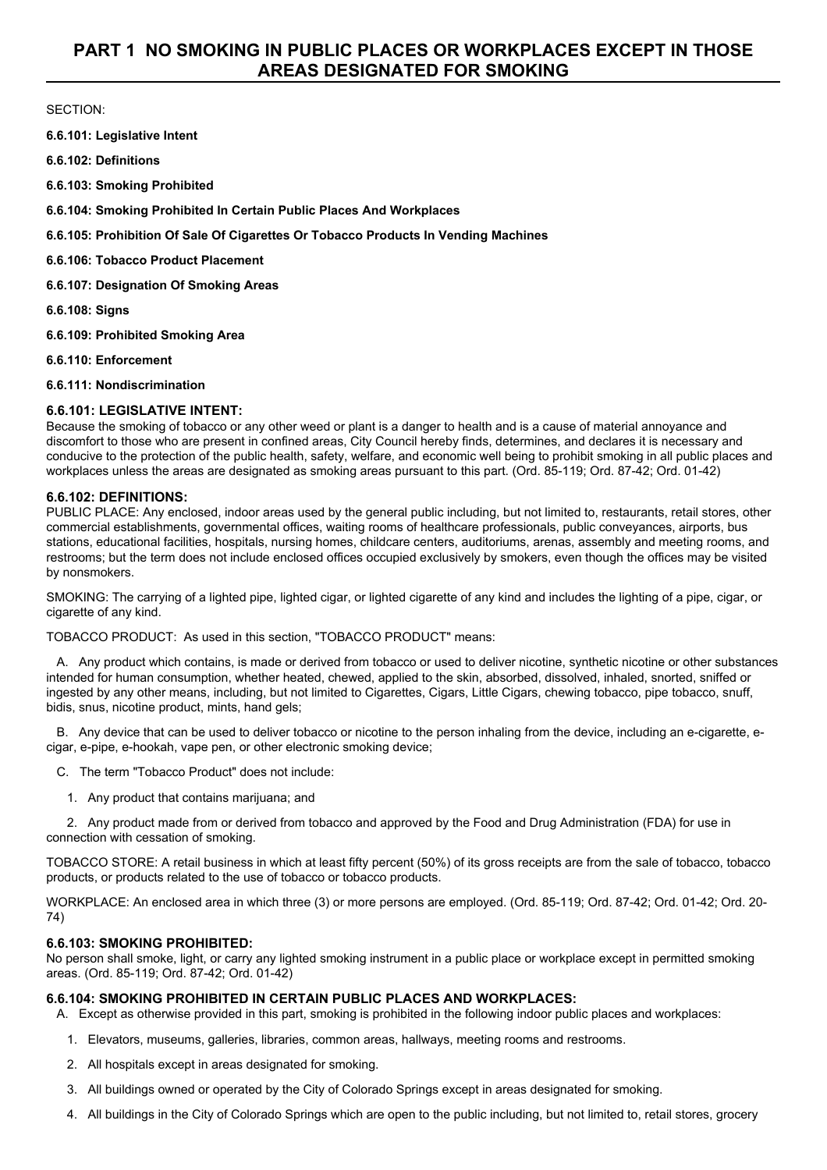# SECTION:

**6.6.101: Legislative Intent**

**6.6.102: Definitions**

**6.6.103: Smoking Prohibited**

**6.6.104: Smoking Prohibited In Certain Public Places And Workplaces**

## **6.6.105: Prohibition Of Sale Of Cigarettes Or Tobacco Products In Vending Machines**

**6.6.106: Tobacco Product Placement**

**6.6.107: Designation Of Smoking Areas**

**6.6.108: Signs**

**6.6.109: Prohibited Smoking Area**

**6.6.110: Enforcement**

**6.6.111: Nondiscrimination**

# **6.6.101: LEGISLATIVE INTENT:**

Because the smoking of tobacco or any other weed or plant is a danger to health and is a cause of material annoyance and discomfort to those who are present in confined areas, City Council hereby finds, determines, and declares it is necessary and conducive to the protection of the public health, safety, welfare, and economic well being to prohibit smoking in all public places and workplaces unless the areas are designated as smoking areas pursuant to this part. (Ord. 85-119; Ord. 87-42; Ord. 01-42)

# **6.6.102: DEFINITIONS:**

PUBLIC PLACE: Any enclosed, indoor areas used by the general public including, but not limited to, restaurants, retail stores, other commercial establishments, governmental offices, waiting rooms of healthcare professionals, public conveyances, airports, bus stations, educational facilities, hospitals, nursing homes, childcare centers, auditoriums, arenas, assembly and meeting rooms, and restrooms; but the term does not include enclosed offices occupied exclusively by smokers, even though the offices may be visited by nonsmokers.

SMOKING: The carrying of a lighted pipe, lighted cigar, or lighted cigarette of any kind and includes the lighting of a pipe, cigar, or cigarette of any kind.

TOBACCO PRODUCT: As used in this section, "TOBACCO PRODUCT" means:

A. Any product which contains, is made or derived from tobacco or used to deliver nicotine, synthetic nicotine or other substances intended for human consumption, whether heated, chewed, applied to the skin, absorbed, dissolved, inhaled, snorted, sniffed or ingested by any other means, including, but not limited to Cigarettes, Cigars, Little Cigars, chewing tobacco, pipe tobacco, snuff, bidis, snus, nicotine product, mints, hand gels;

B. Any device that can be used to deliver tobacco or nicotine to the person inhaling from the device, including an e-cigarette, ecigar, e-pipe, e-hookah, vape pen, or other electronic smoking device;

- C. The term "Tobacco Product" does not include:
	- 1. Any product that contains marijuana; and

2. Any product made from or derived from tobacco and approved by the Food and Drug Administration (FDA) for use in connection with cessation of smoking.

TOBACCO STORE: A retail business in which at least fifty percent (50%) of its gross receipts are from the sale of tobacco, tobacco products, or products related to the use of tobacco or tobacco products.

WORKPLACE: An enclosed area in which three (3) or more persons are employed. (Ord. 85-119; Ord. 87-42; Ord. 01-42; Ord. 20- 74)

# **6.6.103: SMOKING PROHIBITED:**

No person shall smoke, light, or carry any lighted smoking instrument in a public place or workplace except in permitted smoking areas. (Ord. 85-119; Ord. 87-42; Ord. 01-42)

# **6.6.104: SMOKING PROHIBITED IN CERTAIN PUBLIC PLACES AND WORKPLACES:**

A. Except as otherwise provided in this part, smoking is prohibited in the following indoor public places and workplaces:

- 1. Elevators, museums, galleries, libraries, common areas, hallways, meeting rooms and restrooms.
- 2. All hospitals except in areas designated for smoking.
- 3. All buildings owned or operated by the City of Colorado Springs except in areas designated for smoking.
- 4. All buildings in the City of Colorado Springs which are open to the public including, but not limited to, retail stores, grocery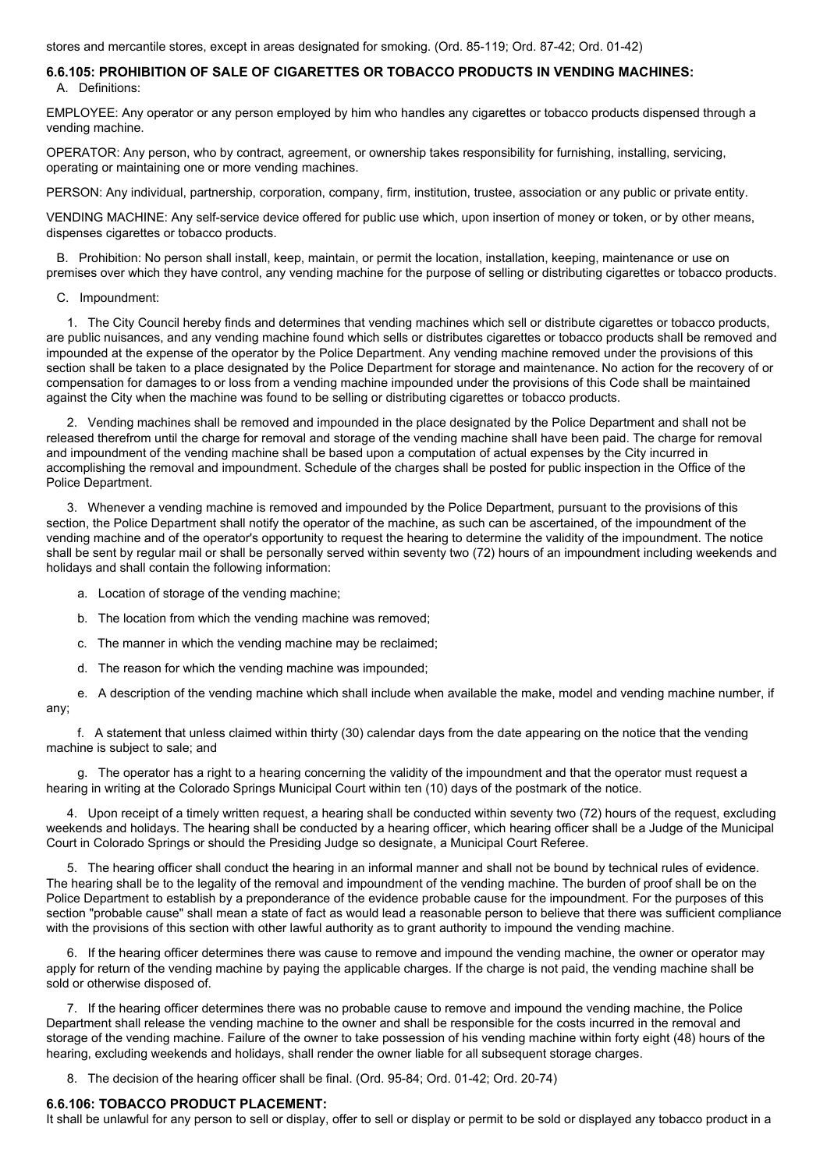stores and mercantile stores, except in areas designated for smoking. (Ord. 85-119; Ord. 87-42; Ord. 01-42)

#### **6.6.105: PROHIBITION OF SALE OF CIGARETTES OR TOBACCO PRODUCTS IN VENDING MACHINES:** A. Definitions:

EMPLOYEE: Any operator or any person employed by him who handles any cigarettes or tobacco products dispensed through a vending machine.

OPERATOR: Any person, who by contract, agreement, or ownership takes responsibility for furnishing, installing, servicing, operating or maintaining one or more vending machines.

PERSON: Any individual, partnership, corporation, company, firm, institution, trustee, association or any public or private entity.

VENDING MACHINE: Any self-service device offered for public use which, upon insertion of money or token, or by other means, dispenses cigarettes or tobacco products.

B. Prohibition: No person shall install, keep, maintain, or permit the location, installation, keeping, maintenance or use on premises over which they have control, any vending machine for the purpose of selling or distributing cigarettes or tobacco products.

C. Impoundment:

1. The City Council hereby finds and determines that vending machines which sell or distribute cigarettes or tobacco products, are public nuisances, and any vending machine found which sells or distributes cigarettes or tobacco products shall be removed and impounded at the expense of the operator by the Police Department. Any vending machine removed under the provisions of this section shall be taken to a place designated by the Police Department for storage and maintenance. No action for the recovery of or compensation for damages to or loss from a vending machine impounded under the provisions of this Code shall be maintained against the City when the machine was found to be selling or distributing cigarettes or tobacco products.

2. Vending machines shall be removed and impounded in the place designated by the Police Department and shall not be released therefrom until the charge for removal and storage of the vending machine shall have been paid. The charge for removal and impoundment of the vending machine shall be based upon a computation of actual expenses by the City incurred in accomplishing the removal and impoundment. Schedule of the charges shall be posted for public inspection in the Office of the Police Department.

3. Whenever a vending machine is removed and impounded by the Police Department, pursuant to the provisions of this section, the Police Department shall notify the operator of the machine, as such can be ascertained, of the impoundment of the vending machine and of the operator's opportunity to request the hearing to determine the validity of the impoundment. The notice shall be sent by regular mail or shall be personally served within seventy two (72) hours of an impoundment including weekends and holidays and shall contain the following information:

- a. Location of storage of the vending machine;
- b. The location from which the vending machine was removed;
- c. The manner in which the vending machine may be reclaimed;
- d. The reason for which the vending machine was impounded;

e. A description of the vending machine which shall include when available the make, model and vending machine number, if any;

f. A statement that unless claimed within thirty (30) calendar days from the date appearing on the notice that the vending machine is subject to sale; and

g. The operator has a right to a hearing concerning the validity of the impoundment and that the operator must request a hearing in writing at the Colorado Springs Municipal Court within ten (10) days of the postmark of the notice.

4. Upon receipt of a timely written request, a hearing shall be conducted within seventy two (72) hours of the request, excluding weekends and holidays. The hearing shall be conducted by a hearing officer, which hearing officer shall be a Judge of the Municipal Court in Colorado Springs or should the Presiding Judge so designate, a Municipal Court Referee.

5. The hearing officer shall conduct the hearing in an informal manner and shall not be bound by technical rules of evidence. The hearing shall be to the legality of the removal and impoundment of the vending machine. The burden of proof shall be on the Police Department to establish by a preponderance of the evidence probable cause for the impoundment. For the purposes of this section "probable cause" shall mean a state of fact as would lead a reasonable person to believe that there was sufficient compliance with the provisions of this section with other lawful authority as to grant authority to impound the vending machine.

6. If the hearing officer determines there was cause to remove and impound the vending machine, the owner or operator may apply for return of the vending machine by paying the applicable charges. If the charge is not paid, the vending machine shall be sold or otherwise disposed of.

7. If the hearing officer determines there was no probable cause to remove and impound the vending machine, the Police Department shall release the vending machine to the owner and shall be responsible for the costs incurred in the removal and storage of the vending machine. Failure of the owner to take possession of his vending machine within forty eight (48) hours of the hearing, excluding weekends and holidays, shall render the owner liable for all subsequent storage charges.

8. The decision of the hearing officer shall be final. (Ord. 95-84; Ord. 01-42; Ord. 20-74)

## **6.6.106: TOBACCO PRODUCT PLACEMENT:**

It shall be unlawful for any person to sell or display, offer to sell or display or permit to be sold or displayed any tobacco product in a